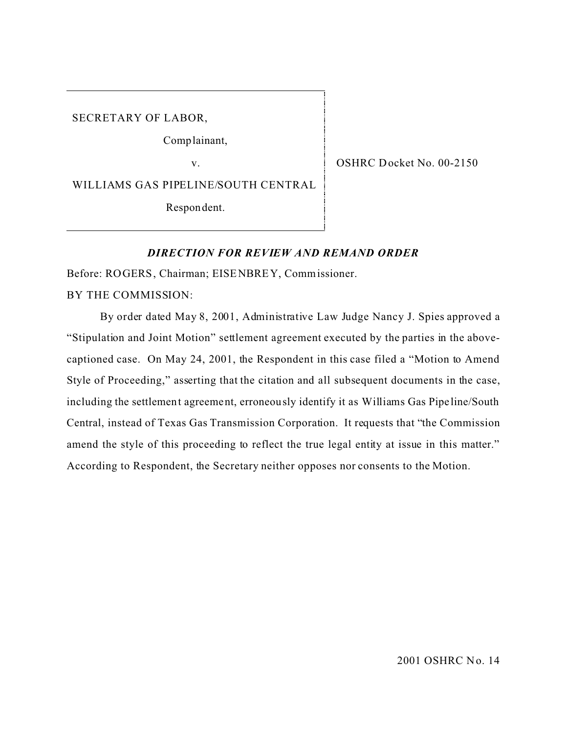SECRETARY OF LABOR,

Comp lainant,

v.

WILLIAMS GAS PIPELINE/SOUTH CENTRAL

Respon dent.

OSHRC Docket No. 00-2150

#### *DIRECTION FOR REVIEW AND REMAND ORDER*

Before: ROGERS, Chairman; EISENBREY, Commissioner.

BY THE COMMISSION:

By order dated May 8, 2001, Administrative Law Judge Nancy J. Spies approved a "Stipulation and Joint Motion" settlement agreement executed by the parties in the abovecaptioned case. On May 24, 2001, the Respondent in this case filed a "Motion to Amend Style of Proceeding," asserting that the citation and all subsequent documents in the case, including the settlement agreement, erroneously identify it as Williams Gas Pipe line/South Central, instead of Texas Gas Transmission Corporation. It requests that "the Commission amend the style of this proceeding to reflect the true legal entity at issue in this matter." According to Respondent, the Secretary neither opposes nor consents to the Motion.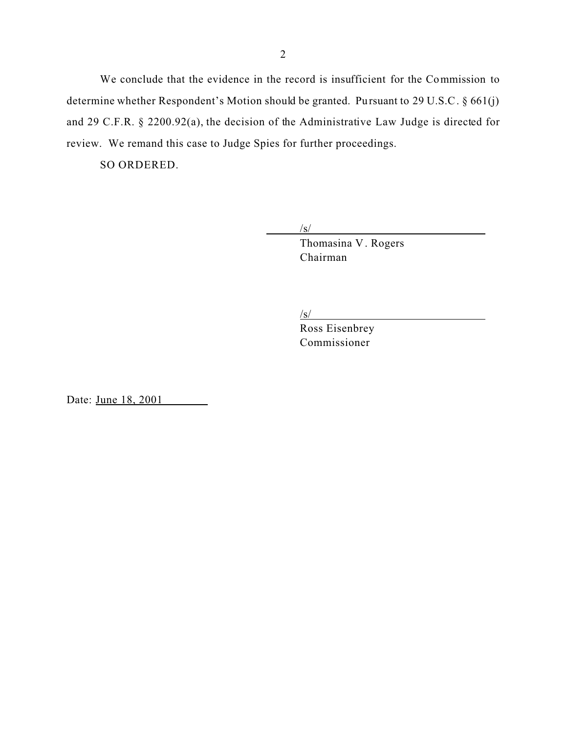We conclude that the evidence in the record is insufficient for the Commission to determine whether Respondent's Motion should be granted. Pursuant to 29 U.S.C. § 661(j) and 29 C.F.R. § 2200.92(a), the decision of the Administrative Law Judge is directed for review. We remand this case to Judge Spies for further proceedings.

SO ORDERED.

/s/ Thomasina V . Rogers Chairman

/s/

Ross Eisenbrey Commissioner

Date: June 18, 2001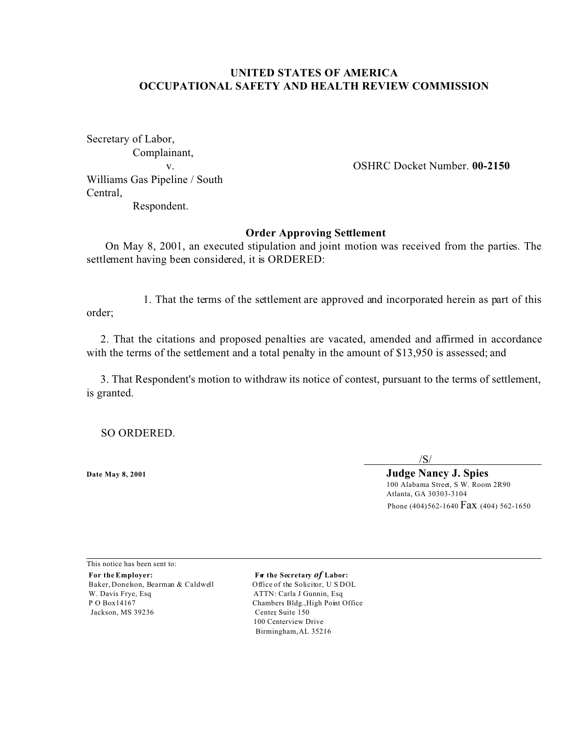## **UNITED STATES OF AMERICA OCCUPATIONAL SAFETY AND HEALTH REVIEW COMMISSION**

Secretary of Labor, Complainant, Williams Gas Pipeline / South Central, Respondent.

v. OSHRC Docket Number. **00-2150** 

#### **Order Approving Settlement**

On May 8, 2001, an executed stipulation and joint motion was received from the parties. The settlement having been considered, it is ORDERED:

1. That the terms of the settlement are approved and incorporated herein as part of this order;

2. That the citations and proposed penalties are vacated, amended and affirmed in accordance with the terms of the settlement and a total penalty in the amount of \$13,950 is assessed; and

3. That Respondent's motion to withdraw its notice of contest, pursuant to the terms of settlement, is granted.

SO ORDERED.

/S/

**Date May 8, 2001 Judge Nancy J. Spies** 100 Alabama Street, S W. Room 2R90 Atlanta, GA 30303-3104 Phone (404) 562-1640 Fax (404) 562-1650

This notice has been sent to: For the Employer: **For the Secretary of Labor:** Baker, Donelson, Bearman & Caldwell Office of the Solicitor, U S DOL W. Davis Frye, Esq Santa Carla J Gunnin, Esq ATTN: Carla J Gunnin, Esq P O Box14167 Chambers Bldg., High Point Office Jackson, MS 39236 Center, Suite 150

100 Centerview Drive Birmingham, AL 35216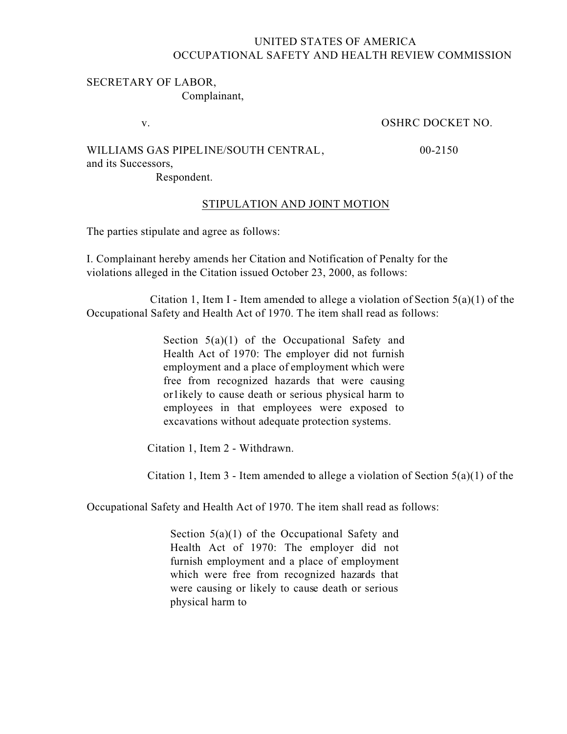# UNITED STATES OF AMERICA OCCUPATIONAL SAFETY AND HEALTH REVIEW COMMISSION

### SECRETARY OF LABOR, Complainant,

v. OSHRC DOCKET NO.

## WILLIAMS GAS PIPELINE/SOUTH CENTRAL,  $00-2150$

and its Successors,

Respondent.

## STIPULATION AND JOINT MOTION

The parties stipulate and agree as follows:

I. Complainant hereby amends her Citation and Notification of Penalty for the violations alleged in the Citation issued October 23, 2000, as follows:

Citation 1, Item I - Item amended to allege a violation of Section  $5(a)(1)$  of the Occupational Safety and Health Act of 1970. The item shall read as follows:

> Section  $5(a)(1)$  of the Occupational Safety and Health Act of 1970: The employer did not furnish employment and a place of employment which were free from recognized hazards that were causing or1ikely to cause death or serious physical harm to employees in that employees were exposed to excavations without adequate protection systems.

Citation 1, Item 2 - Withdrawn.

Citation 1, Item 3 - Item amended to allege a violation of Section  $5(a)(1)$  of the

Occupational Safety and Health Act of 1970. The item shall read as follows:

Section 5(a)(1) of the Occupational Safety and Health Act of 1970: The employer did not furnish employment and a place of employment which were free from recognized hazards that were causing or likely to cause death or serious physical harm to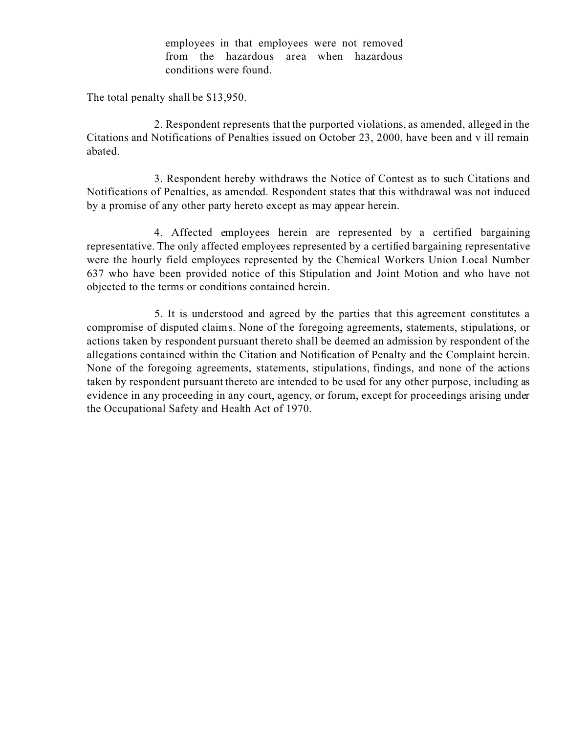employees in that employees were not removed from the hazardous area when hazardous conditions were found.

The total penalty shall be \$13,950.

2. Respondent represents that the purported violations, as amended, alleged in the Citations and Notifications of Penalties issued on October 23, 2000, have been and v ill remain abated.

3. Respondent hereby withdraws the Notice of Contest as to such Citations and Notifications of Penalties, as amended. Respondent states that this withdrawal was not induced by a promise of any other party hereto except as may appear herein.

4. Affected employees herein are represented by a certified bargaining representative. The only affected employees represented by a certified bargaining representative were the hourly field employees represented by the Chemical Workers Union Local Number 637 who have been provided notice of this Stipulation and Joint Motion and who have not objected to the terms or conditions contained herein.

5. It is understood and agreed by the parties that this agreement constitutes a compromise of disputed claims. None of the foregoing agreements, statements, stipulations, or actions taken by respondent pursuant thereto shall be deemed an admission by respondent of the allegations contained within the Citation and Notification of Penalty and the Complaint herein. None of the foregoing agreements, statements, stipulations, findings, and none of the actions taken by respondent pursuant thereto are intended to be used for any other purpose, including as evidence in any proceeding in any court, agency, or forum, except for proceedings arising under the Occupational Safety and Health Act of 1970.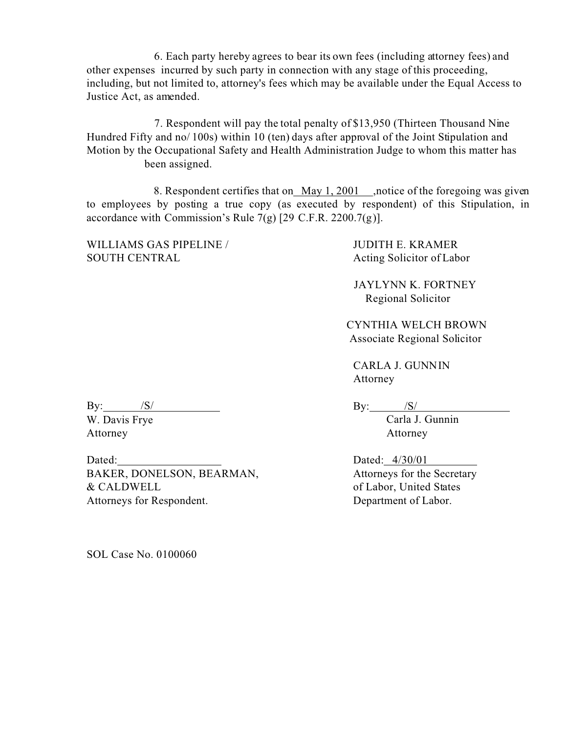6. Each party hereby agrees to bear its own fees (including attorney fees) and other expenses incurred by such party in connection with any stage of this proceeding, including, but not limited to, attorney's fees which may be available under the Equal Access to Justice Act, as amended.

7. Respondent will pay the total penalty of \$13,950 (Thirteen Thousand Nine Hundred Fifty and no/ 100s) within 10 (ten) days after approval of the Joint Stipulation and Motion by the Occupational Safety and Health Administration Judge to whom this matter has been assigned.

8. Respondent certifies that on May 1, 2001 ,notice of the foregoing was given to employees by posting a true copy (as executed by respondent) of this Stipulation, in accordance with Commission's Rule 7(g) [29 C.F.R. 2200.7(g)].

WILLIAMS GAS PIPELINE / SOUTH CENTRAL

JUDITH E. KRAMER Acting Solicitor of Labor

JAYLYNN K. FORTNEY Regional Solicitor

CYNTHIA WELCH BROWN Associate Regional Solicitor

CARLA J. GUNNIN Attorney

 $\mathbf{By:} \qquad \qquad \mathbf{/S}/\mathbf{/}$ 

W. Davis Frye Attorney

Dated: BAKER, DONELSON, BEARMAN, & CALDWELL Attorneys for Respondent.

 $\text{By:}\qquad\qquad \text{/S/}$ Carla J. Gunnin Attorney

Dated: 4/30/01 Attorneys for the Secretary of Labor, United States Department of Labor.

SOL Case No. 0100060